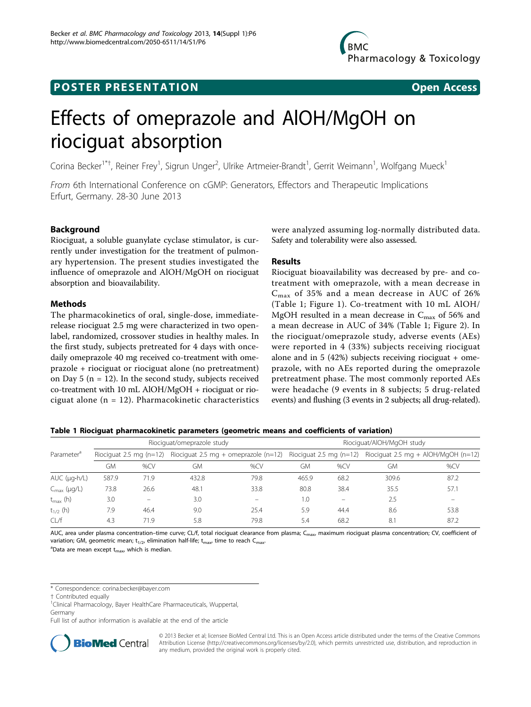# **POSTER PRESENTATION CONSUMING A RESENTATION**



# Effects of omeprazole and AlOH/MgOH on riociguat absorption

Corina Becker<sup>1\*†</sup>, Reiner Frey<sup>1</sup>, Sigrun Unger<sup>2</sup>, Ulrike Artmeier-Brandt<sup>1</sup>, Gerrit Weimann<sup>1</sup>, Wolfgang Mueck<sup>1</sup>

From 6th International Conference on cGMP: Generators, Effectors and Therapeutic Implications Erfurt, Germany. 28-30 June 2013

# Background

Riociguat, a soluble guanylate cyclase stimulator, is currently under investigation for the treatment of pulmonary hypertension. The present studies investigated the influence of omeprazole and AlOH/MgOH on riociguat absorption and bioavailability.

## Methods

The pharmacokinetics of oral, single-dose, immediaterelease riociguat 2.5 mg were characterized in two openlabel, randomized, crossover studies in healthy males. In the first study, subjects pretreated for 4 days with oncedaily omeprazole 40 mg received co-treatment with omeprazole + riociguat or riociguat alone (no pretreatment) on Day 5 ( $n = 12$ ). In the second study, subjects received co-treatment with 10 mL AlOH/MgOH + riociguat or riociguat alone  $(n = 12)$ . Pharmacokinetic characteristics were analyzed assuming log-normally distributed data. Safety and tolerability were also assessed.

## Results

Riociguat bioavailability was decreased by pre- and cotreatment with omeprazole, with a mean decrease in  $C_{\text{max}}$  of 35% and a mean decrease in AUC of 26% (Table 1; Figure [1](#page-1-0)). Co-treatment with 10 mL AlOH/ MgOH resulted in a mean decrease in  $C_{\text{max}}$  of 56% and a mean decrease in AUC of 34% (Table 1; Figure [2\)](#page-1-0). In the riociguat/omeprazole study, adverse events (AEs) were reported in 4 (33%) subjects receiving riociguat alone and in 5 (42%) subjects receiving riociguat + omeprazole, with no AEs reported during the omeprazole pretreatment phase. The most commonly reported AEs were headache (9 events in 8 subjects; 5 drug-related events) and flushing (3 events in 2 subjects; all drug-related).

|  |  |  |  | Table 1 Riociguat pharmacokinetic parameters (geometric means and coefficients of variation) |  |  |  |  |  |
|--|--|--|--|----------------------------------------------------------------------------------------------|--|--|--|--|--|
|--|--|--|--|----------------------------------------------------------------------------------------------|--|--|--|--|--|

|                         | Riociguat/omeprazole study |      |                                                              |      | Riociguat/AlOH/MgOH study |      |                                         |      |  |
|-------------------------|----------------------------|------|--------------------------------------------------------------|------|---------------------------|------|-----------------------------------------|------|--|
| Parameter <sup>ª</sup>  | Riociquat 2.5 mg $(n=12)$  |      | Riociquat 2.5 mg + omeprazole (n=12) Riociguat 2.5 mg (n=12) |      |                           |      | Riociquat 2.5 mg + AlOH/MgOH ( $n=12$ ) |      |  |
|                         | GМ                         | %CV  | GМ                                                           | %CV  | GМ                        | %CV  | GМ                                      | %CV  |  |
| AUC $(\mu q \cdot h/L)$ | 587.9                      | 71.9 | 432.8                                                        | 79.8 | 465.9                     | 68.2 | 309.6                                   | 87.2 |  |
| $C_{\text{max}}$ (µg/L) | 73.8                       | 26.6 | 48.1                                                         | 33.8 | 80.8                      | 38.4 | 35.5                                    | 57.1 |  |
| $t_{\text{max}}$ (h)    | 3.0                        |      | 3.0                                                          |      | 1.0                       |      | 2.5                                     |      |  |
| $t_{1/2}$ (h)           | 7.9                        | 46.4 | 9.0                                                          | 25.4 | 5.9                       | 44.4 | 8.6                                     | 53.8 |  |
| CL/f                    | 4.3                        | 71.9 | 5.8                                                          | 79.8 | 5.4                       | 68.2 | 8.1                                     | 87.2 |  |

AUC, area under plasma concentration–time curve; CL/f, total riociguat clearance from plasma; C<sub>max</sub>, maximum riociguat plasma concentration; CV, coefficient of variation; GM, geometric mean;  $t_{1/2}$ , elimination half-life;  $t_{\text{max}}$ , time to reach C<sub>max</sub>.

 $^{\text{a}}$ Data are mean except t<sub>max</sub>, which is median.

\* Correspondence: [corina.becker@bayer.com](mailto:corina.becker@bayer.com)

<sup>1</sup>Clinical Pharmacology, Bayer HealthCare Pharmaceuticals, Wuppertal Germany

Full list of author information is available at the end of the article



© 2013 Becker et al; licensee BioMed Central Ltd. This is an Open Access article distributed under the terms of the Creative Commons Attribution License [\(http://creativecommons.org/licenses/by/2.0](http://creativecommons.org/licenses/by/2.0)), which permits unrestricted use, distribution, and reproduction in any medium, provided the original work is properly cited.

<sup>†</sup> Contributed equally <sup>1</sup>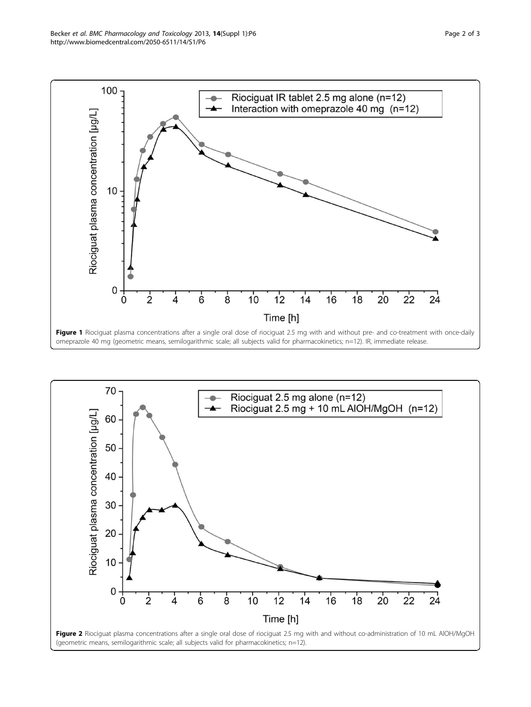<span id="page-1-0"></span>